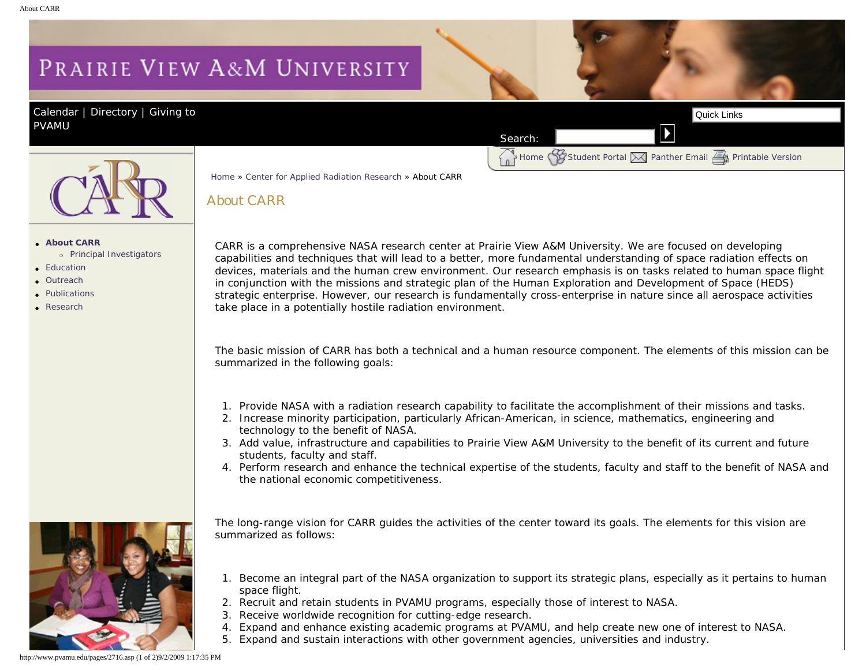## <span id="page-0-0"></span>PRAIRIE VIEW A&M UNIVERSITY

About CARR

[Calendar](http://www.pvamu.edu/pages/105.asp) | [Directory](http://www.pvamu.edu/pages/225.asp) | Giving to [PVAMU](http://www.pvamu.edu/giving) 



Home [Student Portal](http://panthertracks.pvamu.edu/) [Panther Email](http://www.pvamu.edu/pages/1740.asp) [Printable Version](http://www.pvamu.edu/print/2716.asp)



## ● **[About CARR](#page-0-0)** ❍ [Principal Investigators](http://www.pvamu.edu/pages/2717.asp)

- [Education](http://www.pvamu.edu/pages/2718.asp)
- [Outreach](http://www.pvamu.edu/pages/2719.asp)
- [Publications](http://www.pvamu.edu/pages/2720.asp)
- $R$  [Research](http://www.pvamu.edu/pages/2723.asp)

CARR is a comprehensive NASA research center at Prairie View A&M University. We are focused on developing capabilities and techniques that will lead to a better, more fundamental understanding of space radiation effects on devices, materials and the human crew environment. Our research emphasis is on tasks related to human space flight in conjunction with the missions and strategic plan of the Human Exploration and Development of Space (HEDS) strategic enterprise. However, our research is fundamentally cross-enterprise in nature since all aerospace activities take place in a potentially hostile radiation environment. https://www.pvamu.edu/pages/2716.asp (1 of 2)9/2009 11<br>
About CARR<br>
About CARR<br>
About CARR<br>
CARR is a comprehensive MASA research ceches at levels were AAM University We are formed by the<br>
check care of 2008 is a comprehen

Search:

The basic mission of CARR has both a technical and a human resource component. The elements of this mission can be summarized in the following goals:

- 1. Provide NASA with a radiation research capability to facilitate the accomplishment of their missions and tasks.
- 2. Increase minority participation, particularly African-American, in science, mathematics, engineering and technology to the benefit of NASA.
- 3. Add value, infrastructure and capabilities to Prairie View A&M University to the benefit of its current and future students, faculty and staff.
- 4. Perform research and enhance the technical expertise of the students, faculty and staff to the benefit of NASA and the national economic competitiveness.



The long-range vision for CARR guides the activities of the center toward its goals. The elements for this vision are summarized as follows:

- 1. Become an integral part of the NASA organization to support its strategic plans, especially as it pertains to human space flight.
- 2. Recruit and retain students in PVAMU programs, especially those of interest to NASA.
- 3. Receive worldwide recognition for cutting-edge research.

[Home](http://www.pvamu.edu/pages/1.asp) » [Center for Applied Radiation Research](http://www.pvamu.edu/pages/2715.asp) » About CARR

- 4. Expand and enhance existing academic programs at PVAMU, and help create new one of interest to NASA.
- 5. Expand and sustain interactions with other government agencies, universities and industry.